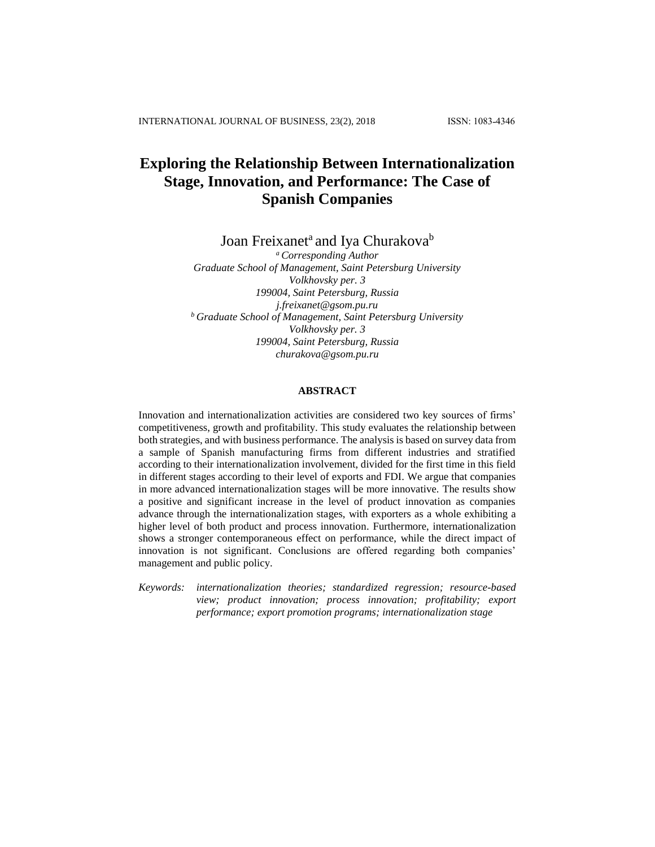# **Exploring the Relationship Between Internationalization Stage, Innovation, and Performance: The Case of Spanish Companies**

Joan Freixanet<sup>a</sup> and Iya Churakova<sup>b</sup>

*<sup>a</sup>Corresponding Author Graduate School of Management, Saint Petersburg University Volkhovsky per. 3 199004, Saint Petersburg, Russia j.freixanet@gsom.pu.ru <sup>b</sup>Graduate School of Management, Saint Petersburg University Volkhovsky per. 3 199004, Saint Petersburg, Russia churakova@gsom.pu.ru*

## **ABSTRACT**

Innovation and internationalization activities are considered two key sources of firms' competitiveness, growth and profitability. This study evaluates the relationship between both strategies, and with business performance. The analysis is based on survey data from a sample of Spanish manufacturing firms from different industries and stratified according to their internationalization involvement, divided for the first time in this field in different stages according to their level of exports and FDI. We argue that companies in more advanced internationalization stages will be more innovative. The results show a positive and significant increase in the level of product innovation as companies advance through the internationalization stages, with exporters as a whole exhibiting a higher level of both product and process innovation. Furthermore, internationalization shows a stronger contemporaneous effect on performance, while the direct impact of innovation is not significant. Conclusions are offered regarding both companies' management and public policy.

*Keywords: internationalization theories; standardized regression; resource-based view; product innovation; process innovation; profitability; export performance; export promotion programs; internationalization stage*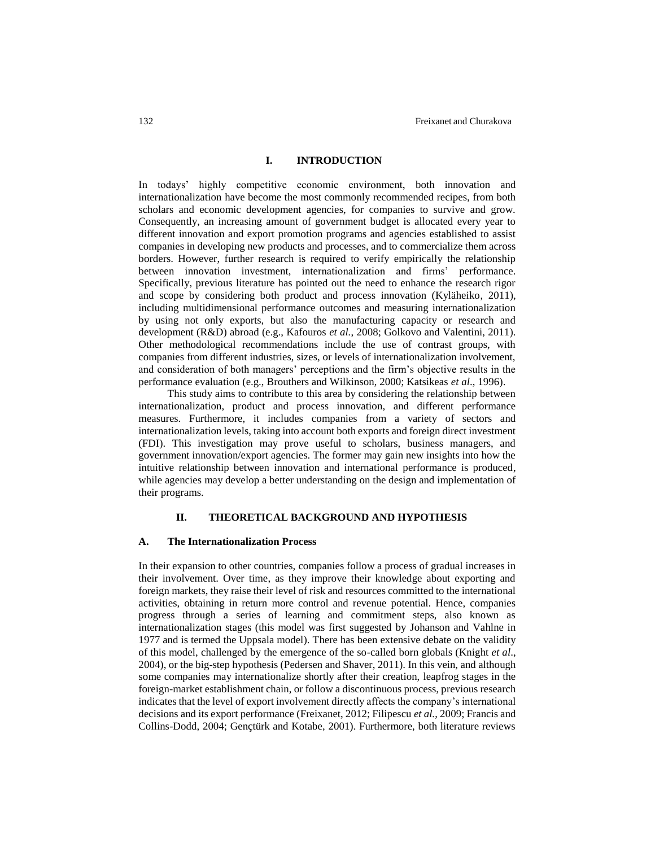#### **I. INTRODUCTION**

In todays' highly competitive economic environment, both innovation and internationalization have become the most commonly recommended recipes, from both scholars and economic development agencies, for companies to survive and grow. Consequently, an increasing amount of government budget is allocated every year to different innovation and export promotion programs and agencies established to assist companies in developing new products and processes, and to commercialize them across borders. However, further research is required to verify empirically the relationship between innovation investment, internationalization and firms' performance. Specifically, previous literature has pointed out the need to enhance the research rigor and scope by considering both product and process innovation (Kyläheiko, 2011), including multidimensional performance outcomes and measuring internationalization by using not only exports, but also the manufacturing capacity or research and development (R&D) abroad (e.g., Kafouros *et al.*, 2008; Golkovo and Valentini, 2011). Other methodological recommendations include the use of contrast groups, with companies from different industries, sizes, or levels of internationalization involvement, and consideration of both managers' perceptions and the firm's objective results in the performance evaluation (e.g., Brouthers and Wilkinson, 2000; Katsikeas *et al*., 1996).

This study aims to contribute to this area by considering the relationship between internationalization, product and process innovation, and different performance measures. Furthermore, it includes companies from a variety of sectors and internationalization levels, taking into account both exports and foreign direct investment (FDI). This investigation may prove useful to scholars, business managers, and government innovation/export agencies. The former may gain new insights into how the intuitive relationship between innovation and international performance is produced, while agencies may develop a better understanding on the design and implementation of their programs.

# **II. THEORETICAL BACKGROUND AND HYPOTHESIS**

#### **A. The Internationalization Process**

In their expansion to other countries, companies follow a process of gradual increases in their involvement. Over time, as they improve their knowledge about exporting and foreign markets, they raise their level of risk and resources committed to the international activities, obtaining in return more control and revenue potential. Hence, companies progress through a series of learning and commitment steps, also known as internationalization stages (this model was first suggested by Johanson and Vahlne in 1977 and is termed the Uppsala model). There has been extensive debate on the validity of this model, challenged by the emergence of the so-called born globals (Knight *et al*., 2004), or the big-step hypothesis (Pedersen and Shaver, 2011). In this vein, and although some companies may internationalize shortly after their creation, leapfrog stages in the foreign-market establishment chain, or follow a discontinuous process, previous research indicates that the level of export involvement directly affects the company's international decisions and its export performance (Freixanet, 2012; Filipescu *et al.*, 2009; Francis and Collins-Dodd, 2004; Gençtürk and Kotabe, 2001). Furthermore, both literature reviews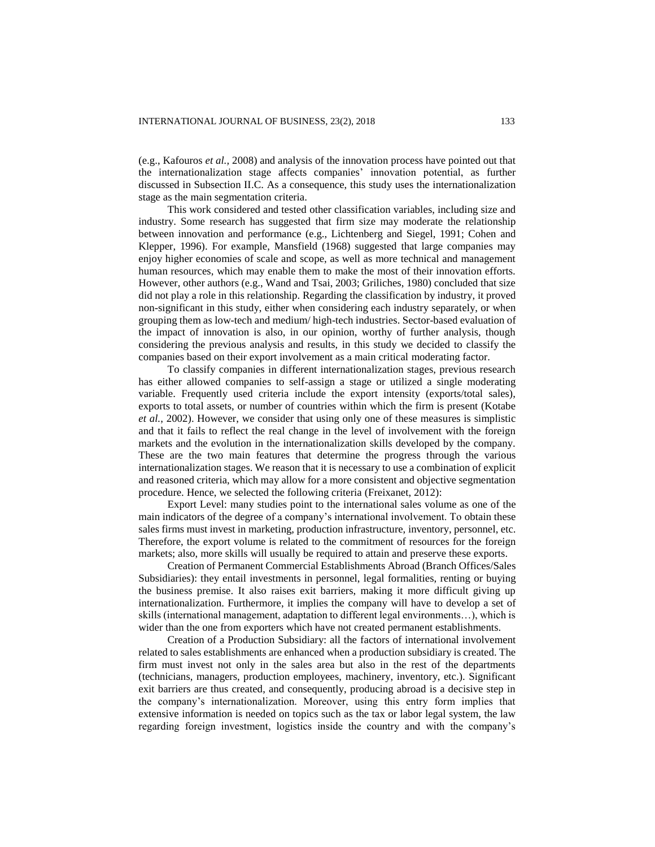(e.g., Kafouros *et al.,* 2008) and analysis of the innovation process have pointed out that the internationalization stage affects companies' innovation potential, as further discussed in Subsection II.C. As a consequence, this study uses the internationalization stage as the main segmentation criteria.

This work considered and tested other classification variables, including size and industry. Some research has suggested that firm size may moderate the relationship between innovation and performance (e.g., Lichtenberg and Siegel, 1991; Cohen and Klepper, 1996). For example, Mansfield (1968) suggested that large companies may enjoy higher economies of scale and scope, as well as more technical and management human resources, which may enable them to make the most of their innovation efforts. However, other authors (e.g., Wand and Tsai, 2003; Griliches, 1980) concluded that size did not play a role in this relationship. Regarding the classification by industry, it proved non-significant in this study, either when considering each industry separately, or when grouping them as low-tech and medium/ high-tech industries. Sector-based evaluation of the impact of innovation is also, in our opinion, worthy of further analysis, though considering the previous analysis and results, in this study we decided to classify the companies based on their export involvement as a main critical moderating factor.

To classify companies in different internationalization stages, previous research has either allowed companies to self-assign a stage or utilized a single moderating variable. Frequently used criteria include the export intensity (exports/total sales), exports to total assets, or number of countries within which the firm is present (Kotabe *et al.*, 2002). However, we consider that using only one of these measures is simplistic and that it fails to reflect the real change in the level of involvement with the foreign markets and the evolution in the internationalization skills developed by the company. These are the two main features that determine the progress through the various internationalization stages. We reason that it is necessary to use a combination of explicit and reasoned criteria, which may allow for a more consistent and objective segmentation procedure. Hence, we selected the following criteria (Freixanet, 2012):

Export Level: many studies point to the international sales volume as one of the main indicators of the degree of a company's international involvement. To obtain these sales firms must invest in marketing, production infrastructure, inventory, personnel, etc. Therefore, the export volume is related to the commitment of resources for the foreign markets; also, more skills will usually be required to attain and preserve these exports.

Creation of Permanent Commercial Establishments Abroad (Branch Offices/Sales Subsidiaries): they entail investments in personnel, legal formalities, renting or buying the business premise. It also raises exit barriers, making it more difficult giving up internationalization. Furthermore, it implies the company will have to develop a set of skills (international management, adaptation to different legal environments…), which is wider than the one from exporters which have not created permanent establishments.

Creation of a Production Subsidiary: all the factors of international involvement related to sales establishments are enhanced when a production subsidiary is created. The firm must invest not only in the sales area but also in the rest of the departments (technicians, managers, production employees, machinery, inventory, etc.). Significant exit barriers are thus created, and consequently, producing abroad is a decisive step in the company's internationalization. Moreover, using this entry form implies that extensive information is needed on topics such as the tax or labor legal system, the law regarding foreign investment, logistics inside the country and with the company's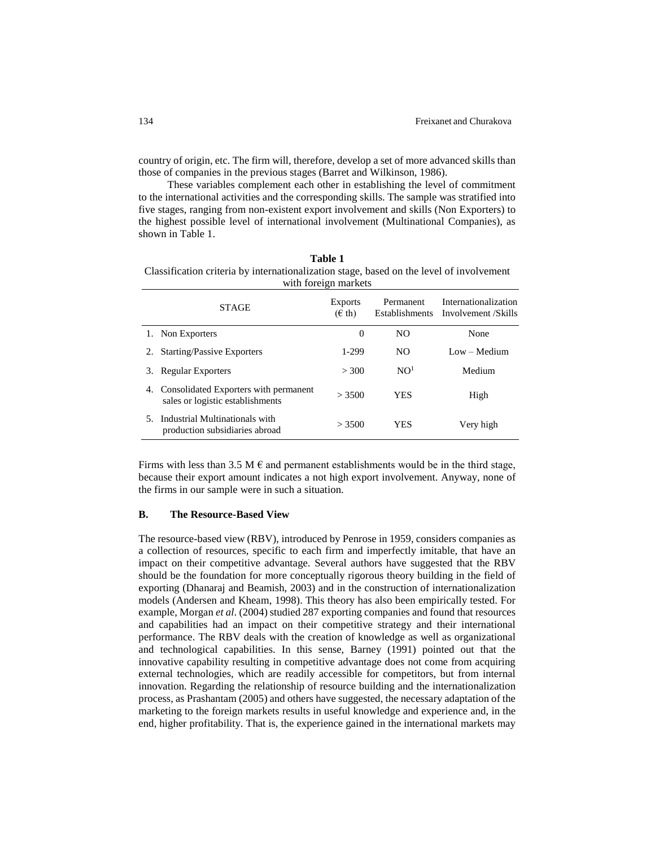country of origin, etc. The firm will, therefore, develop a set of more advanced skills than those of companies in the previous stages (Barret and Wilkinson, 1986).

These variables complement each other in establishing the level of commitment to the international activities and the corresponding skills. The sample was stratified into five stages, ranging from non-existent export involvement and skills (Non Exporters) to the highest possible level of international involvement (Multinational Companies), as shown in Table 1.

| Table 1                                                                                  |  |  |  |  |
|------------------------------------------------------------------------------------------|--|--|--|--|
| Classification criteria by internationalization stage, based on the level of involvement |  |  |  |  |
| with foreign markets                                                                     |  |  |  |  |

|    | <b>STAGE</b>                                                              | Exports<br>$(\epsilon \th)$ | Permanent<br>Establishments | Internationalization<br>Involvement /Skills |
|----|---------------------------------------------------------------------------|-----------------------------|-----------------------------|---------------------------------------------|
|    | 1. Non Exporters                                                          | $\Omega$                    | NO.                         | None                                        |
| 2. | <b>Starting/Passive Exporters</b>                                         | 1-299                       | NO.                         | $Low - Medium$                              |
| 3. | Regular Exporters                                                         | > 300                       | NO <sup>1</sup>             | Medium                                      |
| 4. | Consolidated Exporters with permanent<br>sales or logistic establishments | > 3500                      | YES                         | High                                        |
| 5. | Industrial Multinationals with<br>production subsidiaries abroad          | > 3500                      | YES                         | Very high                                   |

Firms with less than 3.5 M  $\epsilon$  and permanent establishments would be in the third stage, because their export amount indicates a not high export involvement. Anyway, none of the firms in our sample were in such a situation.

## **B. The Resource-Based View**

The resource-based view (RBV), introduced by Penrose in 1959, considers companies as a collection of resources, specific to each firm and imperfectly imitable, that have an impact on their competitive advantage. Several authors have suggested that the RBV should be the foundation for more conceptually rigorous theory building in the field of exporting (Dhanaraj and Beamish, 2003) and in the construction of internationalization models (Andersen and Kheam, 1998). This theory has also been empirically tested. For example, Morgan *et al*. (2004) studied 287 exporting companies and found that resources and capabilities had an impact on their competitive strategy and their international performance. The RBV deals with the creation of knowledge as well as organizational and technological capabilities. In this sense, Barney (1991) pointed out that the innovative capability resulting in competitive advantage does not come from acquiring external technologies, which are readily accessible for competitors, but from internal innovation. Regarding the relationship of resource building and the internationalization process, as Prashantam (2005) and others have suggested, the necessary adaptation of the marketing to the foreign markets results in useful knowledge and experience and, in the end, higher profitability. That is, the experience gained in the international markets may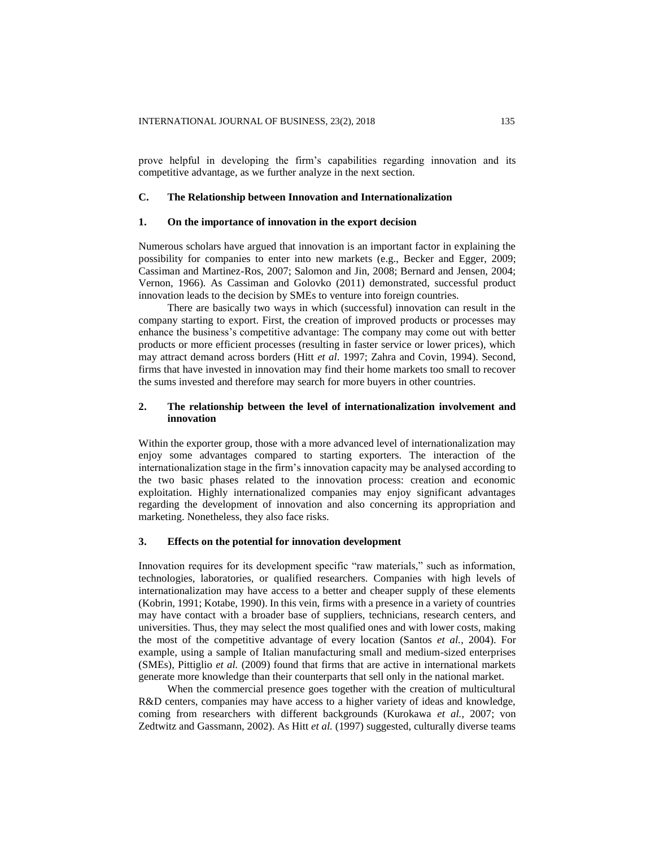prove helpful in developing the firm's capabilities regarding innovation and its competitive advantage, as we further analyze in the next section.

## **C. The Relationship between Innovation and Internationalization**

#### **1. On the importance of innovation in the export decision**

Numerous scholars have argued that innovation is an important factor in explaining the possibility for companies to enter into new markets (e.g., Becker and Egger, 2009; Cassiman and Martinez-Ros, 2007; Salomon and Jin, 2008; Bernard and Jensen, 2004; Vernon, 1966). As Cassiman and Golovko (2011) demonstrated, successful product innovation leads to the decision by SMEs to venture into foreign countries.

There are basically two ways in which (successful) innovation can result in the company starting to export. First, the creation of improved products or processes may enhance the business's competitive advantage: The company may come out with better products or more efficient processes (resulting in faster service or lower prices), which may attract demand across borders (Hitt *et al*. 1997; Zahra and Covin, 1994). Second, firms that have invested in innovation may find their home markets too small to recover the sums invested and therefore may search for more buyers in other countries.

## **2. The relationship between the level of internationalization involvement and innovation**

Within the exporter group, those with a more advanced level of internationalization may enjoy some advantages compared to starting exporters. The interaction of the internationalization stage in the firm's innovation capacity may be analysed according to the two basic phases related to the innovation process: creation and economic exploitation. Highly internationalized companies may enjoy significant advantages regarding the development of innovation and also concerning its appropriation and marketing. Nonetheless, they also face risks.

#### **3. Effects on the potential for innovation development**

Innovation requires for its development specific "raw materials," such as information, technologies, laboratories, or qualified researchers. Companies with high levels of internationalization may have access to a better and cheaper supply of these elements (Kobrin, 1991; Kotabe, 1990). In this vein, firms with a presence in a variety of countries may have contact with a broader base of suppliers, technicians, research centers, and universities. Thus, they may select the most qualified ones and with lower costs, making the most of the competitive advantage of every location (Santos *et al.*, 2004). For example, using a sample of Italian manufacturing small and medium-sized enterprises (SMEs), Pittiglio *et al.* (2009) found that firms that are active in international markets generate more knowledge than their counterparts that sell only in the national market.

When the commercial presence goes together with the creation of multicultural R&D centers, companies may have access to a higher variety of ideas and knowledge, coming from researchers with different backgrounds (Kurokawa *et al.*, 2007; von Zedtwitz and Gassmann, 2002). As Hitt *et al.* (1997) suggested, culturally diverse teams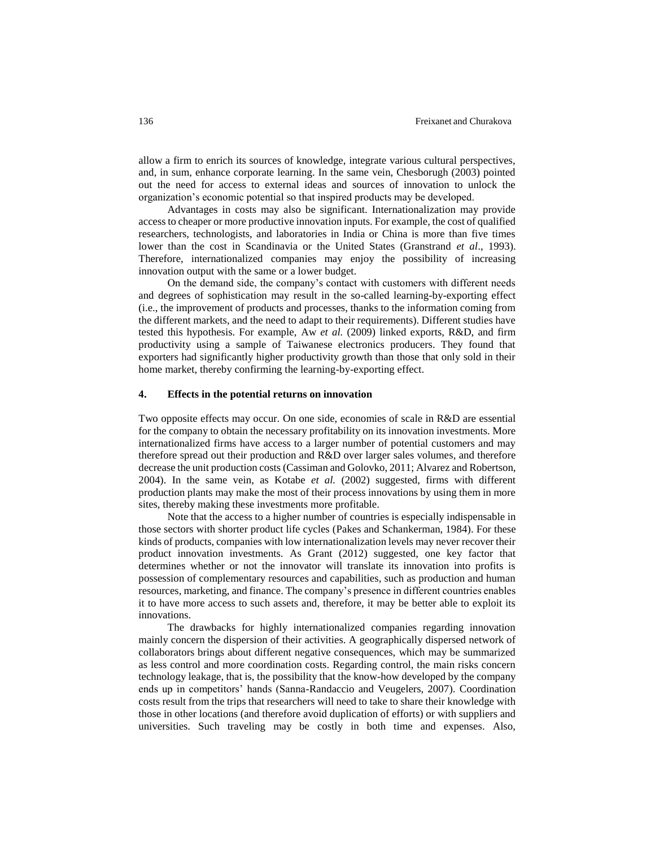allow a firm to enrich its sources of knowledge, integrate various cultural perspectives, and, in sum, enhance corporate learning. In the same vein, Chesborugh (2003) pointed out the need for access to external ideas and sources of innovation to unlock the organization's economic potential so that inspired products may be developed.

Advantages in costs may also be significant. Internationalization may provide access to cheaper or more productive innovation inputs. For example, the cost of qualified researchers, technologists, and laboratories in India or China is more than five times lower than the cost in Scandinavia or the United States (Granstrand *et al*., 1993). Therefore, internationalized companies may enjoy the possibility of increasing innovation output with the same or a lower budget.

On the demand side, the company's contact with customers with different needs and degrees of sophistication may result in the so-called learning-by-exporting effect (i.e., the improvement of products and processes, thanks to the information coming from the different markets, and the need to adapt to their requirements). Different studies have tested this hypothesis. For example, Aw *et al.* (2009) linked exports, R&D, and firm productivity using a sample of Taiwanese electronics producers. They found that exporters had significantly higher productivity growth than those that only sold in their home market, thereby confirming the learning-by-exporting effect.

# **4. Effects in the potential returns on innovation**

Two opposite effects may occur. On one side, economies of scale in R&D are essential for the company to obtain the necessary profitability on its innovation investments. More internationalized firms have access to a larger number of potential customers and may therefore spread out their production and R&D over larger sales volumes, and therefore decrease the unit production costs (Cassiman and Golovko, 2011; Alvarez and Robertson, 2004). In the same vein, as Kotabe *et al.* (2002) suggested, firms with different production plants may make the most of their process innovations by using them in more sites, thereby making these investments more profitable.

Note that the access to a higher number of countries is especially indispensable in those sectors with shorter product life cycles (Pakes and Schankerman, 1984). For these kinds of products, companies with low internationalization levels may never recover their product innovation investments. As Grant (2012) suggested, one key factor that determines whether or not the innovator will translate its innovation into profits is possession of complementary resources and capabilities, such as production and human resources, marketing, and finance. The company's presence in different countries enables it to have more access to such assets and, therefore, it may be better able to exploit its innovations.

The drawbacks for highly internationalized companies regarding innovation mainly concern the dispersion of their activities. A geographically dispersed network of collaborators brings about different negative consequences, which may be summarized as less control and more coordination costs. Regarding control, the main risks concern technology leakage, that is, the possibility that the know-how developed by the company ends up in competitors' hands (Sanna-Randaccio and Veugelers, 2007). Coordination costs result from the trips that researchers will need to take to share their knowledge with those in other locations (and therefore avoid duplication of efforts) or with suppliers and universities. Such traveling may be costly in both time and expenses. Also,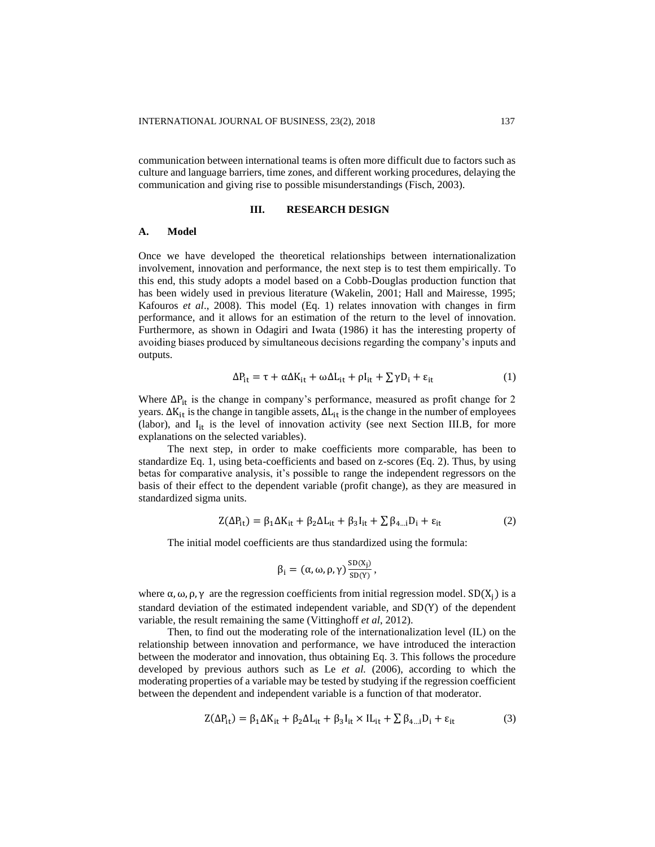communication between international teams is often more difficult due to factors such as culture and language barriers, time zones, and different working procedures, delaying the communication and giving rise to possible misunderstandings (Fisch, 2003).

## **III. RESEARCH DESIGN**

#### **A. Model**

Once we have developed the theoretical relationships between internationalization involvement, innovation and performance, the next step is to test them empirically. To this end, this study adopts a model based on a Cobb-Douglas production function that has been widely used in previous literature (Wakelin, 2001; Hall and Mairesse, 1995; Kafouros *et al*., 2008). This model (Eq. 1) relates innovation with changes in firm performance, and it allows for an estimation of the return to the level of innovation. Furthermore, as shown in Odagiri and Iwata (1986) it has the interesting property of avoiding biases produced by simultaneous decisions regarding the company's inputs and outputs.

$$
\Delta P_{it} = \tau + \alpha \Delta K_{it} + \omega \Delta L_{it} + \rho I_{it} + \sum \gamma D_i + \varepsilon_{it}
$$
 (1)

Where  $\Delta P_{it}$  is the change in company's performance, measured as profit change for 2 years.  $\Delta K_{it}$  is the change in tangible assets,  $\Delta L_{it}$  is the change in the number of employees (labor), and  $I_{it}$  is the level of innovation activity (see next Section III.B, for more explanations on the selected variables).

The next step, in order to make coefficients more comparable, has been to standardize Eq. 1, using beta-coefficients and based on z-scores (Eq. 2). Thus, by using betas for comparative analysis, it's possible to range the independent regressors on the basis of their effect to the dependent variable (profit change), as they are measured in standardized sigma units.

$$
Z(\Delta P_{it}) = \beta_1 \Delta K_{it} + \beta_2 \Delta L_{it} + \beta_3 I_{it} + \sum \beta_{4\ldots i} D_i + \varepsilon_{it}
$$
 (2)

The initial model coefficients are thus standardized using the formula:

$$
\beta_i = (\alpha, \omega, \rho, \gamma) \frac{\mathrm{SD}(x_j)}{\mathrm{SD}(Y)},
$$

where  $\alpha$ ,  $\omega$ ,  $\rho$ ,  $\gamma$  are the regression coefficients from initial regression model. SD(X<sub>i</sub>) is a standard deviation of the estimated independent variable, and SD(Y) of the dependent variable, the result remaining the same (Vittinghoff *et al*, 2012).

Then, to find out the moderating role of the internationalization level (IL) on the relationship between innovation and performance, we have introduced the interaction between the moderator and innovation, thus obtaining Eq. 3. This follows the procedure developed by previous authors such as Le *et al.* (2006), according to which the moderating properties of a variable may be tested by studying if the regression coefficient between the dependent and independent variable is a function of that moderator.

$$
Z(\Delta P_{it}) = \beta_1 \Delta K_{it} + \beta_2 \Delta L_{it} + \beta_3 I_{it} \times I L_{it} + \sum \beta_{4\ldots i} D_i + \varepsilon_{it}
$$
(3)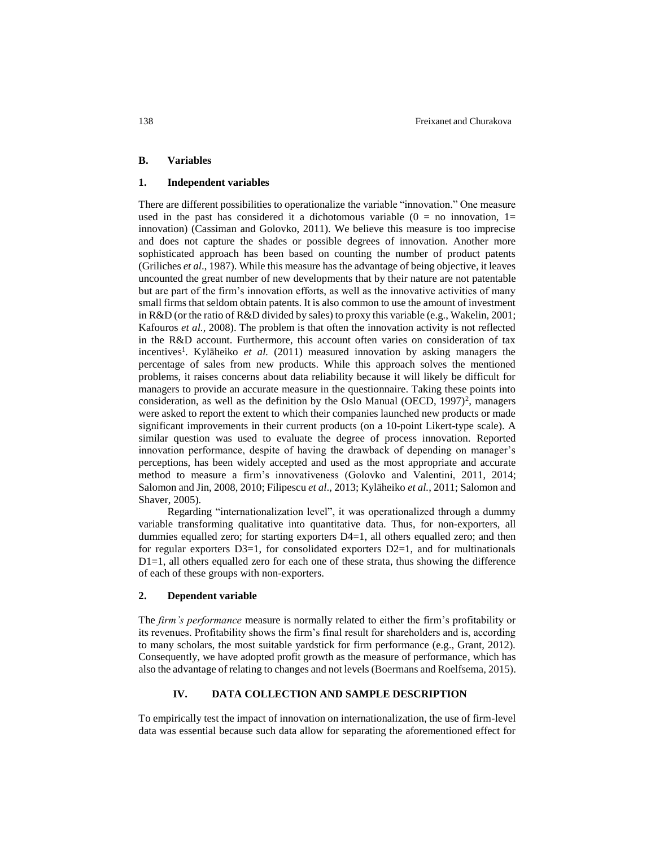#### **B. Variables**

## **1. Independent variables**

There are different possibilities to operationalize the variable "innovation." One measure used in the past has considered it a dichotomous variable  $(0 = no$  innovation, 1= innovation) (Cassiman and Golovko, 2011). We believe this measure is too imprecise and does not capture the shades or possible degrees of innovation. Another more sophisticated approach has been based on counting the number of product patents (Griliches *et al*., 1987). While this measure has the advantage of being objective, it leaves uncounted the great number of new developments that by their nature are not patentable but are part of the firm's innovation efforts, as well as the innovative activities of many small firms that seldom obtain patents. It is also common to use the amount of investment in R&D (or the ratio of R&D divided by sales) to proxy this variable (e.g., Wakelin, 2001; Kafouros *et al.*, 2008). The problem is that often the innovation activity is not reflected in the R&D account. Furthermore, this account often varies on consideration of tax incentives<sup>1</sup>. Kyläheiko *et al.* (2011) measured innovation by asking managers the percentage of sales from new products. While this approach solves the mentioned problems, it raises concerns about data reliability because it will likely be difficult for managers to provide an accurate measure in the questionnaire. Taking these points into consideration, as well as the definition by the Oslo Manual (OECD,  $1997$ )<sup>2</sup>, managers were asked to report the extent to which their companies launched new products or made significant improvements in their current products (on a 10-point Likert-type scale). A similar question was used to evaluate the degree of process innovation. Reported innovation performance, despite of having the drawback of depending on manager's perceptions, has been widely accepted and used as the most appropriate and accurate method to measure a firm's innovativeness (Golovko and Valentini, 2011, 2014; Salomon and Jin, 2008, 2010; Filipescu *et al*., 2013; Kyläheiko *et al.*, 2011; Salomon and Shaver, 2005).

Regarding "internationalization level", it was operationalized through a dummy variable transforming qualitative into quantitative data. Thus, for non-exporters, all dummies equalled zero; for starting exporters D4=1, all others equalled zero; and then for regular exporters  $D3=1$ , for consolidated exporters  $D2=1$ , and for multinationals  $D1=1$ , all others equalled zero for each one of these strata, thus showing the difference of each of these groups with non-exporters.

## **2. Dependent variable**

The *firm's performance* measure is normally related to either the firm's profitability or its revenues. Profitability shows the firm's final result for shareholders and is, according to many scholars, the most suitable yardstick for firm performance (e.g., Grant, 2012). Consequently, we have adopted profit growth as the measure of performance, which has also the advantage of relating to changes and not levels (Boermans and Roelfsema, 2015).

## **IV. DATA COLLECTION AND SAMPLE DESCRIPTION**

To empirically test the impact of innovation on internationalization, the use of firm-level data was essential because such data allow for separating the aforementioned effect for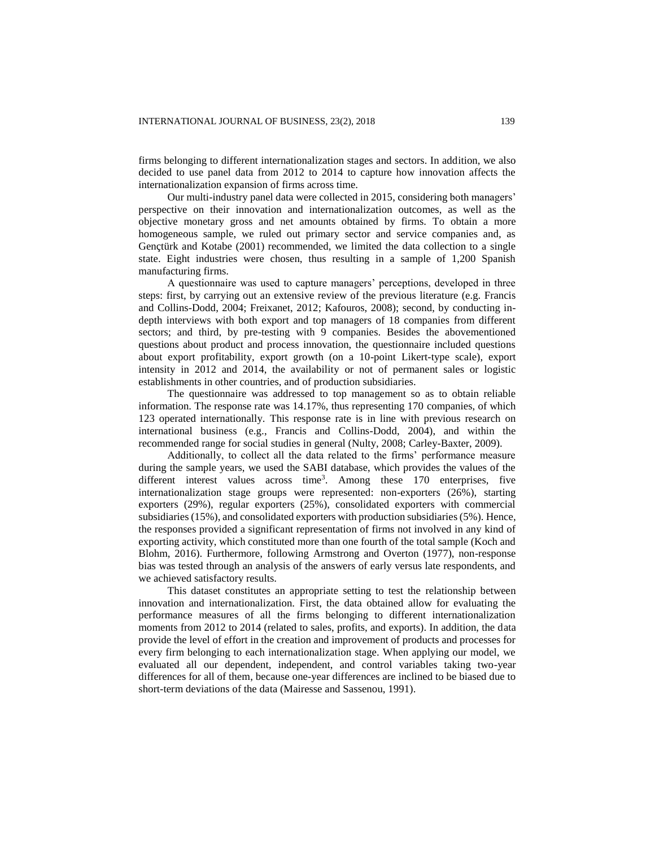firms belonging to different internationalization stages and sectors. In addition, we also decided to use panel data from 2012 to 2014 to capture how innovation affects the internationalization expansion of firms across time.

Our multi-industry panel data were collected in 2015, considering both managers' perspective on their innovation and internationalization outcomes, as well as the objective monetary gross and net amounts obtained by firms. To obtain a more homogeneous sample, we ruled out primary sector and service companies and, as Gençtürk and Kotabe (2001) recommended, we limited the data collection to a single state. Eight industries were chosen, thus resulting in a sample of 1,200 Spanish manufacturing firms.

A questionnaire was used to capture managers' perceptions, developed in three steps: first, by carrying out an extensive review of the previous literature (e.g. Francis and Collins-Dodd, 2004; Freixanet, 2012; Kafouros, 2008); second, by conducting indepth interviews with both export and top managers of 18 companies from different sectors; and third, by pre-testing with 9 companies. Besides the abovementioned questions about product and process innovation, the questionnaire included questions about export profitability, export growth (on a 10-point Likert-type scale), export intensity in 2012 and 2014, the availability or not of permanent sales or logistic establishments in other countries, and of production subsidiaries.

The questionnaire was addressed to top management so as to obtain reliable information. The response rate was 14.17%, thus representing 170 companies, of which 123 operated internationally. This response rate is in line with previous research on international business (e.g., Francis and Collins-Dodd, 2004), and within the recommended range for social studies in general (Nulty, 2008; Carley-Baxter, 2009).

Additionally, to collect all the data related to the firms' performance measure during the sample years, we used the SABI database, which provides the values of the different interest values across time<sup>3</sup>. Among these  $170$  enterprises, five internationalization stage groups were represented: non-exporters (26%), starting exporters (29%), regular exporters (25%), consolidated exporters with commercial subsidiaries (15%), and consolidated exporters with production subsidiaries (5%). Hence, the responses provided a significant representation of firms not involved in any kind of exporting activity, which constituted more than one fourth of the total sample (Koch and Blohm, 2016). Furthermore, following Armstrong and Overton (1977), non-response bias was tested through an analysis of the answers of early versus late respondents, and we achieved satisfactory results.

This dataset constitutes an appropriate setting to test the relationship between innovation and internationalization. First, the data obtained allow for evaluating the performance measures of all the firms belonging to different internationalization moments from 2012 to 2014 (related to sales, profits, and exports). In addition, the data provide the level of effort in the creation and improvement of products and processes for every firm belonging to each internationalization stage. When applying our model, we evaluated all our dependent, independent, and control variables taking two-year differences for all of them, because one-year differences are inclined to be biased due to short-term deviations of the data (Mairesse and Sassenou, 1991).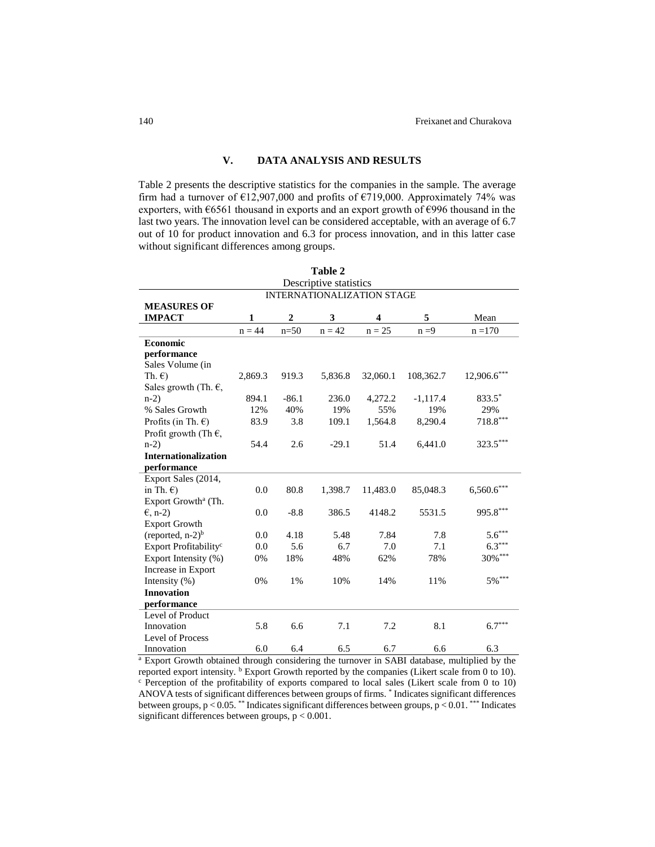## **V. DATA ANALYSIS AND RESULTS**

Table 2 presents the descriptive statistics for the companies in the sample. The average firm had a turnover of  $E12,907,000$  and profits of  $E719,000$ . Approximately 74% was exporters, with €6561 thousand in exports and an export growth of €996 thousand in the last two years. The innovation level can be considered acceptable, with an average of 6.7 out of 10 for product innovation and 6.3 for process innovation, and in this latter case without significant differences among groups.

| Table 2                           |              |                |          |                                   |            |               |
|-----------------------------------|--------------|----------------|----------|-----------------------------------|------------|---------------|
| Descriptive statistics            |              |                |          |                                   |            |               |
|                                   |              |                |          | <b>INTERNATIONALIZATION STAGE</b> |            |               |
| <b>MEASURES OF</b>                |              |                |          |                                   |            |               |
| <b>IMPACT</b>                     | $\mathbf{1}$ | $\overline{2}$ | 3        | 4                                 | 5          | Mean          |
|                                   | $n = 44$     | $n=50$         | $n = 42$ | $n = 25$                          | $n = 9$    | $n = 170$     |
| Economic                          |              |                |          |                                   |            |               |
| performance                       |              |                |          |                                   |            |               |
| Sales Volume (in                  |              |                |          |                                   |            |               |
| Th. $\epsilon$ )                  | 2,869.3      | 919.3          | 5,836.8  | 32,060.1                          | 108,362.7  | $12,906.6***$ |
| Sales growth (Th. $\epsilon$ ,    |              |                |          |                                   |            |               |
| $n-2)$                            | 894.1        | $-86.1$        | 236.0    | 4,272.2                           | $-1,117.4$ | 833.5*        |
| % Sales Growth                    | 12%          | 40%            | 19%      | 55%                               | 19%        | 29%           |
| Profits (in Th. $\epsilon$ )      | 83.9         | 3.8            | 109.1    | 1,564.8                           | 8,290.4    | $718.8***$    |
| Profit growth (Th $\epsilon$ ,    |              |                |          |                                   |            |               |
| $n-2$                             | 54.4         | 2.6            | $-29.1$  | 51.4                              | 6,441.0    | 323.5***      |
| <b>Internationalization</b>       |              |                |          |                                   |            |               |
| performance                       |              |                |          |                                   |            |               |
| Export Sales (2014,               |              |                |          |                                   |            |               |
| in Th. $\epsilon$ )               | 0.0          | 80.8           | 1,398.7  | 11,483.0                          | 85,048.3   | $6,560.6***$  |
| Export Growth <sup>a</sup> (Th.   |              |                |          |                                   |            |               |
| $\epsilon$ , n-2)                 | 0.0          | $-8.8$         | 386.5    | 4148.2                            | 5531.5     | 995.8***      |
| <b>Export Growth</b>              |              |                |          |                                   |            |               |
| (reported, $n-2$ ) <sup>b</sup>   | 0.0          | 4.18           | 5.48     | 7.84                              | 7.8        | $5.6***$      |
| Export Profitability <sup>c</sup> | 0.0          | 5.6            | 6.7      | 7.0                               | 7.1        | $6.3***$      |
| Export Intensity (%)              | 0%           | 18%            | 48%      | 62%                               | 78%        | 30%***        |
| Increase in Export                |              |                |          |                                   |            |               |
| Intensity $(\%)$                  | 0%           | $1\%$          | 10%      | 14%                               | 11%        | $5\%$ ***     |
| <b>Innovation</b>                 |              |                |          |                                   |            |               |
| performance                       |              |                |          |                                   |            |               |
| Level of Product                  |              |                |          |                                   |            |               |
| Innovation                        | 5.8          | 6.6            | 7.1      | 7.2                               | 8.1        | $6.7***$      |
| Level of Process                  |              |                |          |                                   |            |               |
| Innovation                        | 6.0          | 6.4            | 6.5      | 6.7                               | 6.6        | 6.3           |

<sup>a</sup> Export Growth obtained through considering the turnover in SABI database, multiplied by the reported export intensity. <sup>b</sup> Export Growth reported by the companies (Likert scale from 0 to 10). <sup>c</sup> Perception of the profitability of exports compared to local sales (Likert scale from 0 to 10) ANOVA tests of significant differences between groups of firms. \* Indicates significant differences between groups, p < 0.05. \*\* Indicates significant differences between groups, p < 0.01. \*\*\* Indicates significant differences between groups, p < 0.001.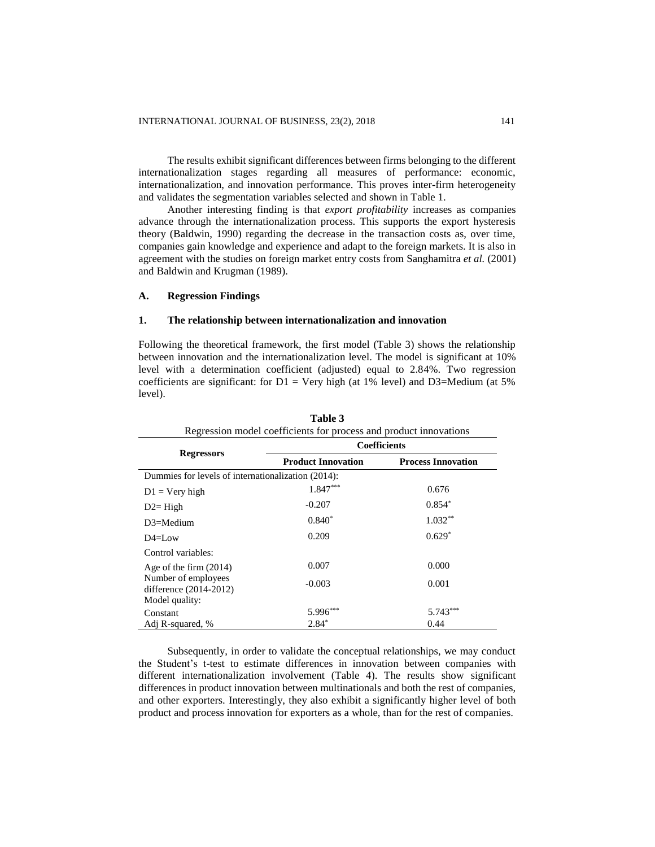The results exhibit significant differences between firms belonging to the different internationalization stages regarding all measures of performance: economic, internationalization, and innovation performance. This proves inter-firm heterogeneity and validates the segmentation variables selected and shown in Table 1.

Another interesting finding is that *export profitability* increases as companies advance through the internationalization process. This supports the export hysteresis theory (Baldwin, 1990) regarding the decrease in the transaction costs as, over time, companies gain knowledge and experience and adapt to the foreign markets. It is also in agreement with the studies on foreign market entry costs from Sanghamitra *et al.* (2001) and Baldwin and Krugman (1989).

## **A. Regression Findings**

## **1. The relationship between internationalization and innovation**

Following the theoretical framework, the first model (Table 3) shows the relationship between innovation and the internationalization level. The model is significant at 10% level with a determination coefficient (adjusted) equal to 2.84%. Two regression coefficients are significant: for  $D1 = \text{Very high (at 1\% level)}$  and  $D3 = \text{Median (at 5\%}$ level).

| Regression model coefficients for process and product innovations |                           |                           |  |  |  |  |
|-------------------------------------------------------------------|---------------------------|---------------------------|--|--|--|--|
|                                                                   | <b>Coefficients</b>       |                           |  |  |  |  |
| <b>Regressors</b>                                                 | <b>Product Innovation</b> | <b>Process Innovation</b> |  |  |  |  |
| Dummies for levels of internationalization (2014):                |                           |                           |  |  |  |  |
| $D1 = V$ ery high                                                 | $1.847***$                | 0.676                     |  |  |  |  |
| $D2 = High$                                                       | $-0.207$                  | $0.854*$                  |  |  |  |  |
| $D3 = Medium$                                                     | $0.840*$                  | $1.032**$                 |  |  |  |  |
| $D4=LOW$                                                          | 0.209                     | $0.629*$                  |  |  |  |  |
| Control variables:                                                |                           |                           |  |  |  |  |
| Age of the firm $(2014)$                                          | 0.007                     | 0.000                     |  |  |  |  |
| Number of employees<br>difference (2014-2012)                     | $-0.003$                  | 0.001                     |  |  |  |  |
| Model quality:                                                    |                           |                           |  |  |  |  |
| Constant                                                          | $5.996***$                | $5.743***$                |  |  |  |  |
| Adj R-squared, %                                                  | $2.84*$                   | 0.44                      |  |  |  |  |

**Table 3**

Subsequently, in order to validate the conceptual relationships, we may conduct the Student's t-test to estimate differences in innovation between companies with different internationalization involvement (Table 4). The results show significant differences in product innovation between multinationals and both the rest of companies, and other exporters. Interestingly, they also exhibit a significantly higher level of both product and process innovation for exporters as a whole, than for the rest of companies.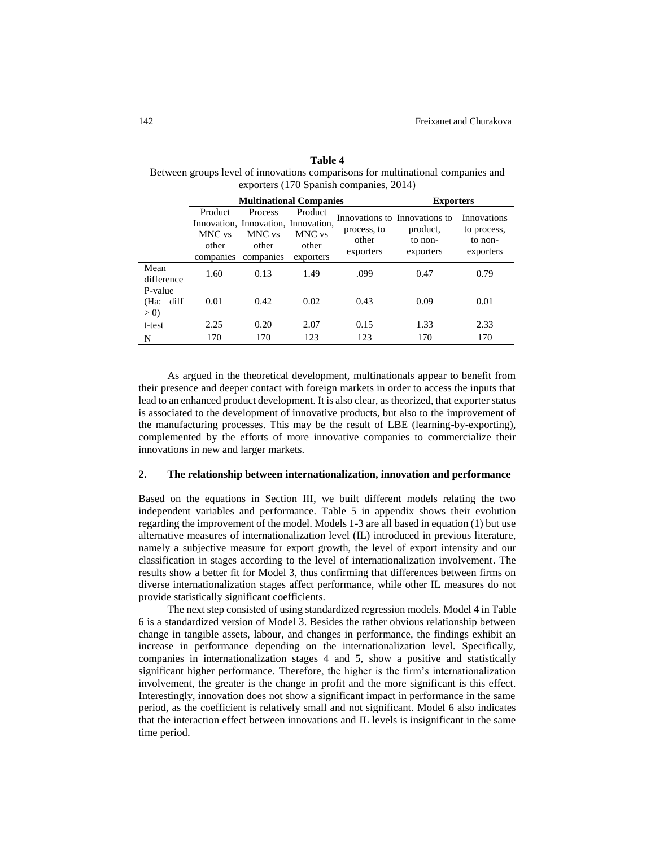| Table 4                                                                         |
|---------------------------------------------------------------------------------|
| Between groups level of innovations comparisons for multinational companies and |
| exporters (170 Spanish companies, 2014)                                         |

**Table 4** 

|                             |                                         | <b>Multinational Companies</b>                                                 | <b>Exporters</b>                        |                                   |                                                                   |                                                    |
|-----------------------------|-----------------------------------------|--------------------------------------------------------------------------------|-----------------------------------------|-----------------------------------|-------------------------------------------------------------------|----------------------------------------------------|
|                             | Product<br>MNC vs<br>other<br>companies | Process<br>Innovation, Innovation, Innovation,<br>MNC vs<br>other<br>companies | Product<br>MNC vs<br>other<br>exporters | process, to<br>other<br>exporters | Innovations to Innovations to<br>product.<br>to non-<br>exporters | Innovations<br>to process,<br>to non-<br>exporters |
| Mean<br>difference          | 1.60                                    | 0.13                                                                           | 1.49                                    | .099                              | 0.47                                                              | 0.79                                               |
| P-value<br>(Ha: diff<br>> 0 | 0.01                                    | 0.42                                                                           | 0.02                                    | 0.43                              | 0.09                                                              | 0.01                                               |
| t-test                      | 2.25                                    | 0.20                                                                           | 2.07                                    | 0.15                              | 1.33                                                              | 2.33                                               |
| N                           | 170                                     | 170                                                                            | 123                                     | 123                               | 170                                                               | 170                                                |

As argued in the theoretical development, multinationals appear to benefit from their presence and deeper contact with foreign markets in order to access the inputs that lead to an enhanced product development. It is also clear, as theorized, that exporter status is associated to the development of innovative products, but also to the improvement of the manufacturing processes. This may be the result of LBE (learning-by-exporting), complemented by the efforts of more innovative companies to commercialize their innovations in new and larger markets.

## **2. The relationship between internationalization, innovation and performance**

Based on the equations in Section III, we built different models relating the two independent variables and performance. Table 5 in appendix shows their evolution regarding the improvement of the model. Models 1-3 are all based in equation (1) but use alternative measures of internationalization level (IL) introduced in previous literature, namely a subjective measure for export growth, the level of export intensity and our classification in stages according to the level of internationalization involvement. The results show a better fit for Model 3, thus confirming that differences between firms on diverse internationalization stages affect performance, while other IL measures do not provide statistically significant coefficients.

The next step consisted of using standardized regression models. Model 4 in Table 6 is a standardized version of Model 3. Besides the rather obvious relationship between change in tangible assets, labour, and changes in performance, the findings exhibit an increase in performance depending on the internationalization level. Specifically, companies in internationalization stages 4 and 5, show a positive and statistically significant higher performance. Therefore, the higher is the firm's internationalization involvement, the greater is the change in profit and the more significant is this effect. Interestingly, innovation does not show a significant impact in performance in the same period, as the coefficient is relatively small and not significant. Model 6 also indicates that the interaction effect between innovations and IL levels is insignificant in the same time period.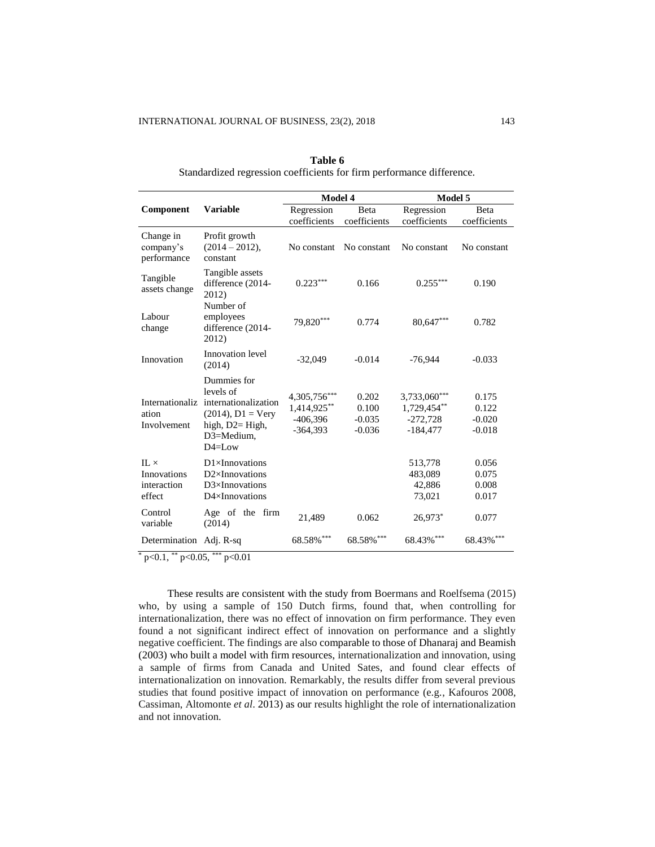|                                                     | <b>Variable</b>                                                                                                           | Model 4                                                 |                                        | Model 5                                                 |                                        |
|-----------------------------------------------------|---------------------------------------------------------------------------------------------------------------------------|---------------------------------------------------------|----------------------------------------|---------------------------------------------------------|----------------------------------------|
| Component                                           |                                                                                                                           | Regression<br>coefficients                              | Beta<br>coefficients                   | Regression<br>coefficients                              | Beta<br>coefficients                   |
| Change in<br>company's<br>performance               | Profit growth<br>$(2014 - 2012)$ ,<br>constant                                                                            | No constant                                             | No constant                            | No constant                                             | No constant                            |
| Tangible<br>assets change                           | Tangible assets<br>difference (2014-<br>2012)<br>Number of                                                                | $0.223***$                                              | 0.166                                  | $0.255***$                                              | 0.190                                  |
| Labour<br>change                                    | employees<br>difference (2014-<br>2012)                                                                                   | 79,820***                                               | 0.774                                  | 80,647***                                               | 0.782                                  |
| Innovation                                          | Innovation level<br>(2014)                                                                                                | $-32,049$                                               | $-0.014$                               | $-76,944$                                               | $-0.033$                               |
| Internationaliz<br>ation<br>Involvement             | Dummies for<br>levels of<br>internationalization<br>$(2014)$ , $D1 = Very$<br>high, D2= High,<br>D3=Medium.<br>$D4 = Low$ | 4,305,756***<br>1,414,925**<br>$-406,396$<br>$-364,393$ | 0.202<br>0.100<br>$-0.035$<br>$-0.036$ | 3,733,060***<br>1,729,454**<br>$-272,728$<br>$-184,477$ | 0.175<br>0.122<br>$-0.020$<br>$-0.018$ |
| $IL \times$<br>Innovations<br>interaction<br>effect | $D1\times$ Innovations<br>$D2\times$ Innovations<br>$D3\times$ Innovations<br>$D4\times$ Innovations                      |                                                         |                                        | 513,778<br>483,089<br>42,886<br>73,021                  | 0.056<br>0.075<br>0.008<br>0.017       |
| Control<br>variable                                 | Age of the firm<br>(2014)                                                                                                 | 21,489                                                  | 0.062                                  | 26,973*                                                 | 0.077                                  |
| Determination Adj. R-sq                             |                                                                                                                           | $68.58\%$ ***                                           | 68.58%***                              | 68.43%***                                               | 68.43%***                              |

**Table 6** Standardized regression coefficients for firm performance difference.

 $*$  p<0.1, \*\* p<0.05, \*\*\* p<0.01

These results are consistent with the study from Boermans and Roelfsema (2015) who, by using a sample of 150 Dutch firms, found that, when controlling for internationalization, there was no effect of innovation on firm performance. They even found a not significant indirect effect of innovation on performance and a slightly negative coefficient. The findings are also comparable to those of Dhanaraj and Beamish (2003) who built a model with firm resources, internationalization and innovation, using a sample of firms from Canada and United Sates, and found clear effects of internationalization on innovation. Remarkably, the results differ from several previous studies that found positive impact of innovation on performance (e.g., Kafouros 2008, Cassiman, Altomonte *et al*. 2013) as our results highlight the role of internationalization and not innovation.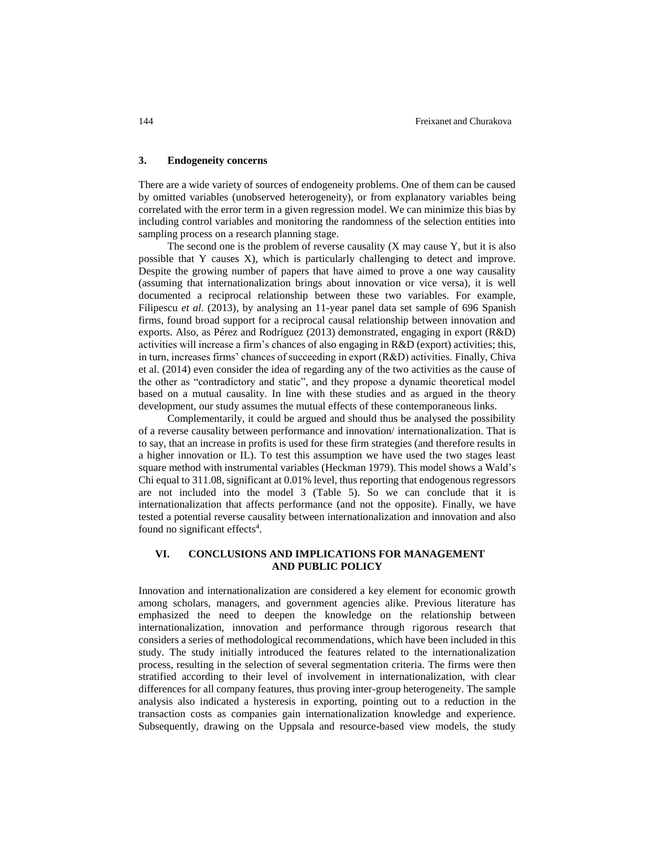## **3. Endogeneity concerns**

There are a wide variety of sources of endogeneity problems. One of them can be caused by omitted variables (unobserved heterogeneity), or from explanatory variables being correlated with the error term in a given regression model. We can minimize this bias by including control variables and monitoring the randomness of the selection entities into sampling process on a research planning stage.

The second one is the problem of reverse causality (X may cause Y, but it is also possible that Y causes X), which is particularly challenging to detect and improve. Despite the growing number of papers that have aimed to prove a one way causality (assuming that internationalization brings about innovation or vice versa), it is well documented a reciprocal relationship between these two variables. For example, Filipescu *et al*. (2013), by analysing an 11-year panel data set sample of 696 Spanish firms, found broad support for a reciprocal causal relationship between innovation and exports. Also, as Pérez and Rodríguez (2013) demonstrated, engaging in export (R&D) activities will increase a firm's chances of also engaging in R&D (export) activities; this, in turn, increases firms' chances of succeeding in export (R&D) activities. Finally, Chiva et al. (2014) even consider the idea of regarding any of the two activities as the cause of the other as "contradictory and static", and they propose a dynamic theoretical model based on a mutual causality. In line with these studies and as argued in the theory development, our study assumes the mutual effects of these contemporaneous links.

Complementarily, it could be argued and should thus be analysed the possibility of a reverse causality between performance and innovation/ internationalization. That is to say, that an increase in profits is used for these firm strategies (and therefore results in a higher innovation or IL). To test this assumption we have used the two stages least square method with instrumental variables (Heckman 1979). This model shows a Wald's Chi equal to 311.08, significant at 0.01% level, thus reporting that endogenous regressors are not included into the model 3 (Table 5). So we can conclude that it is internationalization that affects performance (and not the opposite). Finally, we have tested a potential reverse causality between internationalization and innovation and also found no significant effects<sup>4</sup>.

# **VI. CONCLUSIONS AND IMPLICATIONS FOR MANAGEMENT AND PUBLIC POLICY**

Innovation and internationalization are considered a key element for economic growth among scholars, managers, and government agencies alike. Previous literature has emphasized the need to deepen the knowledge on the relationship between internationalization, innovation and performance through rigorous research that considers a series of methodological recommendations, which have been included in this study. The study initially introduced the features related to the internationalization process, resulting in the selection of several segmentation criteria. The firms were then stratified according to their level of involvement in internationalization, with clear differences for all company features, thus proving inter-group heterogeneity. The sample analysis also indicated a hysteresis in exporting, pointing out to a reduction in the transaction costs as companies gain internationalization knowledge and experience. Subsequently, drawing on the Uppsala and resource-based view models, the study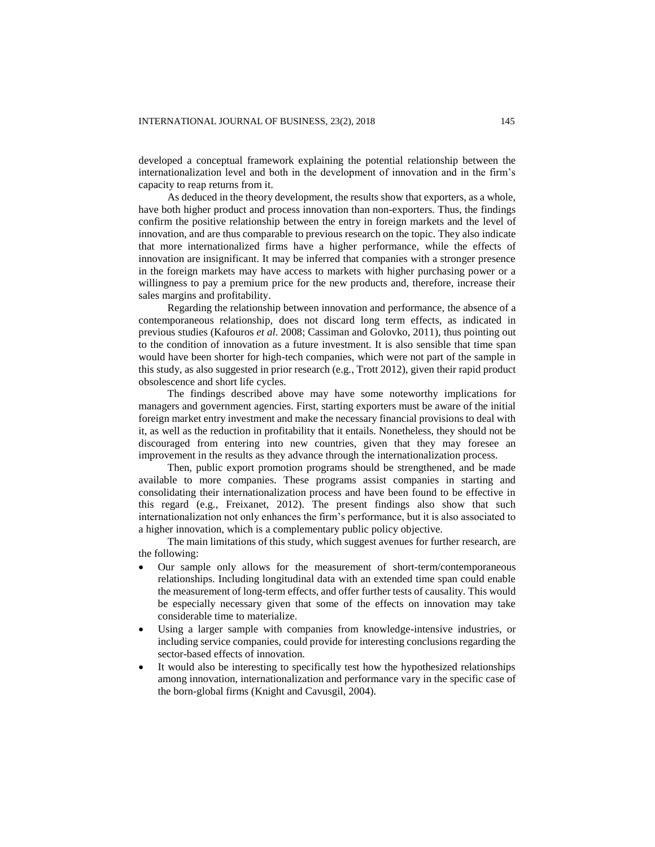developed a conceptual framework explaining the potential relationship between the internationalization level and both in the development of innovation and in the firm's capacity to reap returns from it.

As deduced in the theory development, the results show that exporters, as a whole, have both higher product and process innovation than non-exporters. Thus, the findings confirm the positive relationship between the entry in foreign markets and the level of innovation, and are thus comparable to previous research on the topic. They also indicate that more internationalized firms have a higher performance, while the effects of innovation are insignificant. It may be inferred that companies with a stronger presence in the foreign markets may have access to markets with higher purchasing power or a willingness to pay a premium price for the new products and, therefore, increase their sales margins and profitability.

Regarding the relationship between innovation and performance, the absence of a contemporaneous relationship, does not discard long term effects, as indicated in previous studies (Kafouros *et al*. 2008; Cassiman and Golovko, 2011), thus pointing out to the condition of innovation as a future investment. It is also sensible that time span would have been shorter for high-tech companies, which were not part of the sample in this study, as also suggested in prior research (e.g., Trott 2012), given their rapid product obsolescence and short life cycles.

The findings described above may have some noteworthy implications for managers and government agencies. First, starting exporters must be aware of the initial foreign market entry investment and make the necessary financial provisions to deal with it, as well as the reduction in profitability that it entails. Nonetheless, they should not be discouraged from entering into new countries, given that they may foresee an improvement in the results as they advance through the internationalization process.

Then, public export promotion programs should be strengthened, and be made available to more companies. These programs assist companies in starting and consolidating their internationalization process and have been found to be effective in this regard (e.g., Freixanet, 2012). The present findings also show that such internationalization not only enhances the firm's performance, but it is also associated to a higher innovation, which is a complementary public policy objective.

The main limitations of this study, which suggest avenues for further research, are the following:

- Our sample only allows for the measurement of short-term/contemporaneous relationships. Including longitudinal data with an extended time span could enable the measurement of long-term effects, and offer further tests of causality. This would be especially necessary given that some of the effects on innovation may take considerable time to materialize.
- Using a larger sample with companies from knowledge-intensive industries, or including service companies, could provide for interesting conclusions regarding the sector-based effects of innovation.
- It would also be interesting to specifically test how the hypothesized relationships among innovation, internationalization and performance vary in the specific case of the born-global firms (Knight and Cavusgil, 2004).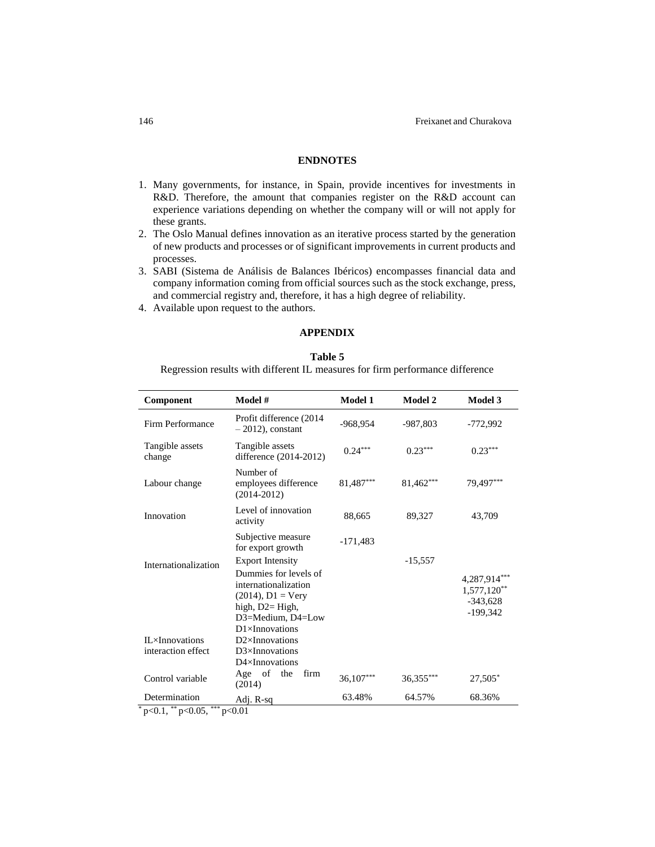# **ENDNOTES**

- 1. Many governments, for instance, in Spain, provide incentives for investments in R&D. Therefore, the amount that companies register on the R&D account can experience variations depending on whether the company will or will not apply for these grants.
- 2. The Oslo Manual defines innovation as an iterative process started by the generation of new products and processes or of significant improvements in current products and processes.
- 3. SABI (Sistema de Análisis de Balances Ibéricos) encompasses financial data and company information coming from official sources such as the stock exchange, press, and commercial registry and, therefore, it has a high degree of reliability.
- 4. Available upon request to the authors.

# **APPENDIX**

## **Table 5**

Regression results with different IL measures for firm performance difference

| Component                                          | Model #                                                                                                                                                                   | <b>Model 1</b> | <b>Model 2</b> | <b>Model 3</b>                                              |
|----------------------------------------------------|---------------------------------------------------------------------------------------------------------------------------------------------------------------------------|----------------|----------------|-------------------------------------------------------------|
| Firm Performance                                   | Profit difference (2014<br>$-2012$ , constant                                                                                                                             | -968,954       | $-987,803$     | -772,992                                                    |
| Tangible assets<br>change                          | Tangible assets<br>difference (2014-2012)                                                                                                                                 | $0.24***$      | $0.23***$      | $0.23***$                                                   |
| Labour change                                      | Number of<br>employees difference<br>$(2014 - 2012)$                                                                                                                      | 81,487***      | 81,462***      | 79,497***                                                   |
| Innovation                                         | Level of innovation<br>activity                                                                                                                                           | 88,665         | 89,327         | 43,709                                                      |
|                                                    | Subjective measure<br>for export growth                                                                                                                                   | $-171,483$     |                |                                                             |
| Internationalization                               | <b>Export Intensity</b><br>Dummies for levels of<br>internationalization<br>$(2014)$ , $D1 = V$ ery<br>high, $D2 = High$ ,<br>D3=Medium, D4=Low<br>$D1\times$ Innovations |                | $-15,557$      | 4,287,914**<br>$1,577,120^{**}$<br>$-343,628$<br>$-199,342$ |
| $IL \times In novations$<br>interaction effect     | $D2\times$ Innovations<br>$D3\times$ Innovations<br>$D4\times$ Innovations                                                                                                |                |                |                                                             |
| Control variable                                   | Age of<br>the<br>firm<br>(2014)                                                                                                                                           |                | 36,355***      | $27,505*$                                                   |
| Determination<br>**<br>***<br>0.05<br>$^{\circ}$ 1 | Adj. R-sq<br>0.01                                                                                                                                                         | 63.48%         | 64.57%         | 68.36%                                                      |

 $p<0.1$ , \*\*  $p<0.05$ , \*\*\*  $p<0.01$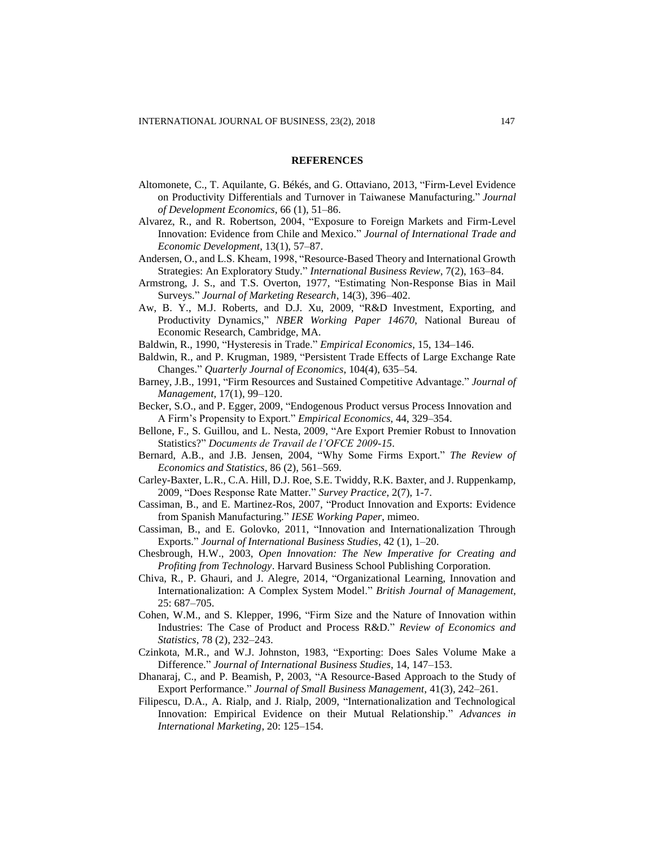#### **REFERENCES**

- Altomonete, C., T. Aquilante, G. Békés, and G. Ottaviano, 2013, "Firm-Level Evidence on Productivity Differentials and Turnover in Taiwanese Manufacturing." *Journal of Development Economics*, 66 (1), 51–86.
- Alvarez, R., and R. Robertson, 2004, "Exposure to Foreign Markets and Firm-Level Innovation: Evidence from Chile and Mexico." *Journal of International Trade and Economic Development*, 13(1), 57–87.
- Andersen, O., and L.S. Kheam, 1998, "Resource-Based Theory and International Growth Strategies: An Exploratory Study." *International Business Review*, 7(2), 163–84.
- Armstrong, J. S., and T.S. Overton, 1977, "Estimating Non-Response Bias in Mail Surveys." *Journal of Marketing Research*, 14(3), 396–402.
- Aw, B. Y., M.J. Roberts, and D.J. Xu, 2009, "R&D Investment, Exporting, and Productivity Dynamics," *NBER Working Paper 14670*, National Bureau of Economic Research, Cambridge, MA.
- Baldwin, R., 1990, "Hysteresis in Trade." *Empirical Economics*, 15, 134–146.
- Baldwin, R., and P. Krugman, 1989, "Persistent Trade Effects of Large Exchange Rate Changes." *Quarterly Journal of Economics*, 104(4), 635–54.
- Barney, J.B., 1991, "Firm Resources and Sustained Competitive Advantage." *Journal of Management*, 17(1), 99–120.
- Becker, S.O., and P. Egger, 2009, "Endogenous Product versus Process Innovation and A Firm's Propensity to Export." *Empirical Economics*, 44, 329–354.
- Bellone, F., S. Guillou, and L. Nesta, 2009, "Are Export Premier Robust to Innovation Statistics?" *Documents de Travail de l'OFCE 2009-15*.
- Bernard, A.B., and J.B. Jensen, 2004, "Why Some Firms Export." *The Review of Economics and Statistics*, 86 (2), 561–569.
- Carley-Baxter, L.R., C.A. Hill, D.J. Roe, S.E. Twiddy, R.K. Baxter, and J. Ruppenkamp, 2009, "Does Response Rate Matter." *Survey Practice*, 2(7), 1-7.
- Cassiman, B., and E. Martinez-Ros, 2007, "Product Innovation and Exports: Evidence from Spanish Manufacturing." *IESE Working Paper*, mimeo.
- Cassiman, B., and E. Golovko, 2011, "Innovation and Internationalization Through Exports." *Journal of International Business Studies*, 42 (1), 1–20.
- Chesbrough, H.W., 2003, *Open Innovation: The New Imperative for Creating and Profiting from Technology*. Harvard Business School Publishing Corporation.
- Chiva, R., P. Ghauri, and J. Alegre, 2014, "Organizational Learning, Innovation and Internationalization: A Complex System Model." *British Journal of Management,* 25: 687–705.
- Cohen, W.M., and S. Klepper, 1996, "Firm Size and the Nature of Innovation within Industries: The Case of Product and Process R&D." *Review of Economics and Statistics*, 78 (2), 232–243.
- Czinkota, M.R., and W.J. Johnston, 1983, "Exporting: Does Sales Volume Make a Difference." *Journal of International Business Studies*, 14, 147–153.
- Dhanaraj, C., and P. Beamish, P, 2003, "A Resource-Based Approach to the Study of Export Performance." *Journal of Small Business Management*, 41(3), 242–261.
- Filipescu, D.A., A. Rialp, and J. Rialp, 2009, "Internationalization and Technological Innovation: Empirical Evidence on their Mutual Relationship." *Advances in International Marketing*, 20: 125–154.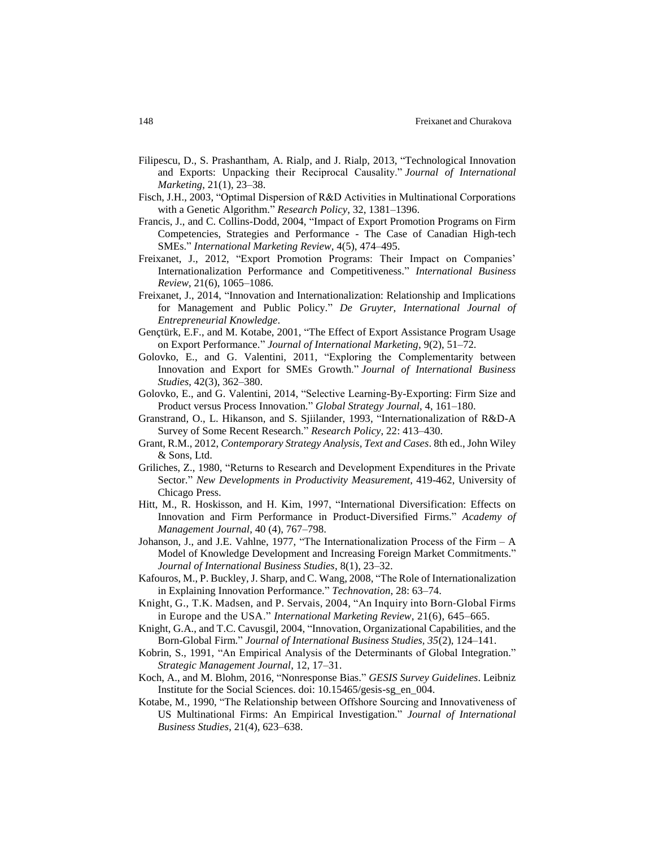- Filipescu, D., S. Prashantham, A. Rialp, and J. Rialp, 2013, "Technological Innovation and Exports: Unpacking their Reciprocal Causality." *Journal of International Marketing*, 21(1), 23*–*38.
- Fisch, J.H., 2003, "Optimal Dispersion of R&D Activities in Multinational Corporations with a Genetic Algorithm." *Research Policy*, 32, 1381–1396.
- Francis, J., and C. Collins-Dodd, 2004, "Impact of Export Promotion Programs on Firm Competencies, Strategies and Performance - The Case of Canadian High-tech SMEs." *International Marketing Review*, 4(5), 474–495.
- Freixanet, J., 2012, "Export Promotion Programs: Their Impact on Companies' Internationalization Performance and Competitiveness." *International Business Review*, 21(6), 1065–1086.
- Freixanet, J., 2014, "Innovation and Internationalization: Relationship and Implications for Management and Public Policy." *De Gruyter, International Journal of Entrepreneurial Knowledge*.
- Gençtürk, E.F., and M. Kotabe, 2001, "The Effect of Export Assistance Program Usage on Export Performance." *Journal of International Marketing*, 9(2), 51–72.
- Golovko, E., and G. Valentini, 2011, "Exploring the Complementarity between Innovation and Export for SMEs Growth." *Journal of International Business Studies*, 42(3), 362–380.
- Golovko, E., and G. Valentini, 2014, "Selective Learning-By-Exporting: Firm Size and Product versus Process Innovation." *Global Strategy Journal*, 4, 161–180.
- Granstrand, O., L. Hikanson, and S. Sjiilander, 1993, "Internationalization of R&D-A Survey of Some Recent Research." *Research Policy*, 22: 413–430.
- Grant, R.M., 2012, *Contemporary Strategy Analysis, Text and Cases*. 8th ed., John Wiley & Sons, Ltd.
- Griliches, Z., 1980, "Returns to Research and Development Expenditures in the Private Sector." *New Developments in Productivity Measurement*, 419-462, University of Chicago Press.
- Hitt, M., R. Hoskisson, and H. Kim, 1997, "International Diversification: Effects on Innovation and Firm Performance in Product-Diversified Firms." *Academy of Management Journal*, 40 (4), 767–798.
- Johanson, J., and J.E. Vahlne, 1977, "The Internationalization Process of the Firm A Model of Knowledge Development and Increasing Foreign Market Commitments." *Journal of International Business Studies*, 8(1), 23–32.
- Kafouros, M., P. Buckley, J. Sharp, and C. Wang, 2008, "The Role of Internationalization in Explaining Innovation Performance." *Technovation*, 28: 63–74.
- [Knight,](http://www.emeraldinsight.com/author/Knight%2C+Gary) G., T.K. [Madsen,](http://www.emeraldinsight.com/author/Koed+Madsen%2C+Tage) and P. [Servais,](http://www.emeraldinsight.com/author/Servais%2C+Per) 2004, "An Inquiry into Born‐Global Firms in Europe and the USA." *International Marketing Review*, 21(6), 645–665.
- Knight, G.A., and T.C. Cavusgil, 2004, "Innovation, Organizational Capabilities, and the Born-Global Firm." *Journal of International Business Studies, 35*(2), 124–141.
- Kobrin, S., 1991, "An Empirical Analysis of the Determinants of Global Integration." *Strategic Management Journal*, 12, 17–31.
- Koch, A., and M. Blohm, 2016, "Nonresponse Bias." *GESIS Survey Guidelines*. Leibniz Institute for the Social Sciences. doi: 10.15465/gesis-sg\_en\_004.
- Kotabe, M., 1990, "The Relationship between Offshore Sourcing and Innovativeness of US Multinational Firms: An Empirical Investigation." *Journal of International Business Studies*, 21(4), 623–638.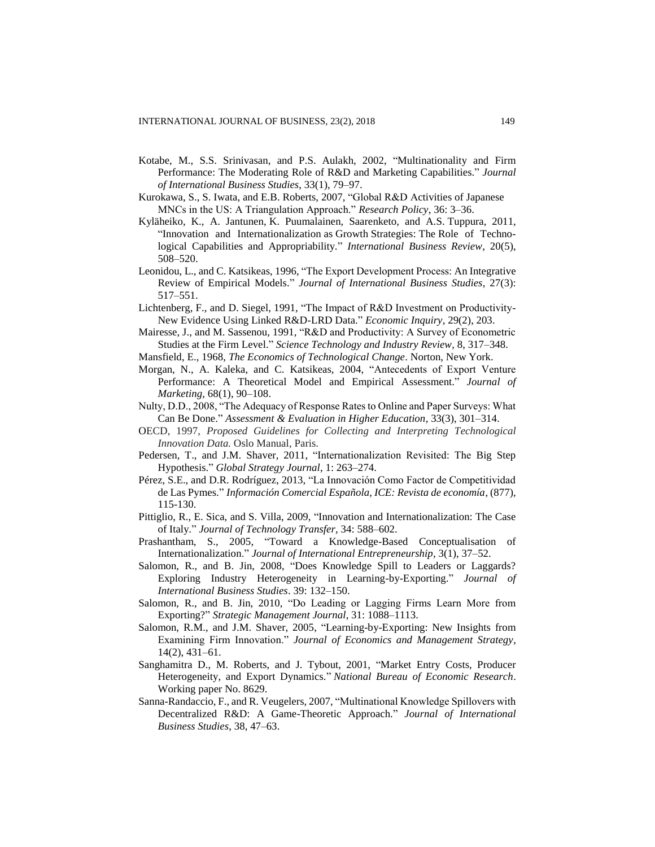- Kotabe, M., S.S. Srinivasan, and P.S. Aulakh, 2002, "Multinationality and Firm Performance: The Moderating Role of R&D and Marketing Capabilities." *Journal of International Business Studies*, 33(1), 79–97.
- Kurokawa, S., S. Iwata, and E.B. Roberts, 2007, "Global R&D Activities of Japanese MNCs in the US: A Triangulation Approach." *Research Policy*, 36: 3–36.
- Kyläheiko, K., A. Jantunen, K. Puumalainen, Saarenketo, and A.S. Tuppura, 2011, "Innovation and Internationalization as Growth Strategies: The Role of Technological Capabilities and Appropriability." *International Business Review*, 20(5), 508–520.
- Leonidou, L., and C. Katsikeas, 1996, "The Export Development Process: An Integrative Review of Empirical Models." *Journal of International Business Studies*, 27(3): 517–551.
- Lichtenberg, F., and D. Siegel, 1991, "The Impact of R&D Investment on Productivity-New Evidence Using Linked R&D-LRD Data." *Economic Inquiry*, 29(2), 203.
- Mairesse, J., and M. Sassenou, 1991, "R&D and Productivity: A Survey of Econometric Studies at the Firm Level." *Science Technology and Industry Review*, 8, 317–348.
- Mansfield, E., 1968, *The Economics of Technological Change*. Norton, New York.
- Morgan, N., A. Kaleka, and C. Katsikeas, 2004, "Antecedents of Export Venture Performance: A Theoretical Model and Empirical Assessment." *Journal of Marketing*, 68(1), 90–108.
- Nulty, D.D., 2008, "The Adequacy of Response Rates to Online and Paper Surveys: What Can Be Done." *Assessment & Evaluation in Higher Education*, 33(3), 301–314.
- OECD, 1997, *Proposed Guidelines for Collecting and Interpreting Technological Innovation Data.* Oslo Manual, Paris.
- Pedersen, T., and J.M. Shaver, 2011, "Internationalization Revisited: The Big Step Hypothesis." *Global Strategy Journal*, 1: 263–274.
- Pérez, S.E., and D.R. Rodríguez, 2013, "La Innovación Como Factor de Competitividad de Las Pymes." *Información Comercial Española, ICE: Revista de economía*, (877), 115-130.
- Pittiglio, R., E. Sica, and S. Villa, 2009, "Innovation and Internationalization: The Case of Italy." *Journal of Technology Transfer*, 34: 588–602.
- Prashantham, S., 2005, "Toward a Knowledge-Based Conceptualisation of Internationalization." *Journal of International Entrepreneurship*, 3(1), 37–52.
- Salomon, R., and B. Jin, 2008, "Does Knowledge Spill to Leaders or Laggards? Exploring Industry Heterogeneity in Learning-by-Exporting." *Journal of International Business Studies*. 39: 132–150.
- Salomon, R., and B. Jin, 2010, "Do Leading or Lagging Firms Learn More from Exporting?" *Strategic Management Journal*, 31: 1088–1113.
- Salomon, R.M., and J.M. Shaver, 2005, "Learning-by-Exporting: New Insights from Examining Firm Innovation." *Journal of Economics and Management Strategy*, 14(2), 431–61.
- Sanghamitra D., M. Roberts, and J. Tybout, 2001, "Market Entry Costs, Producer Heterogeneity, and Export Dynamics." *National Bureau of Economic Research*. Working paper No. 8629.
- Sanna-Randaccio, F., and R. Veugelers, 2007, "Multinational Knowledge Spillovers with Decentralized R&D: A Game-Theoretic Approach." *Journal of International Business Studies*, 38, 47–63.